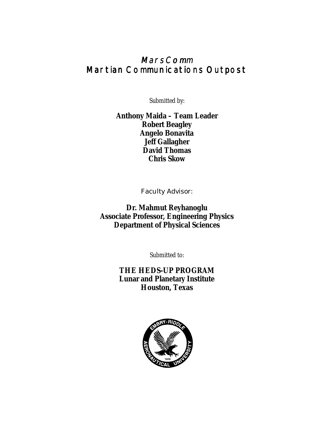# MarsComm Martian Communications Outpost

Submitted by:

**Anthony Maida – Team Leader Robert Beagley Angelo Bonavita Jeff Gallagher David Thomas Chris Skow** 

Faculty Advisor:

**Dr. Mahmut Reyhanoglu Associate Professor, Engineering Physics Department of Physical Sciences** 

Submitted to:

**THE HEDS-UP PROGRAM Lunar and Planetary Institute Houston, Texas**

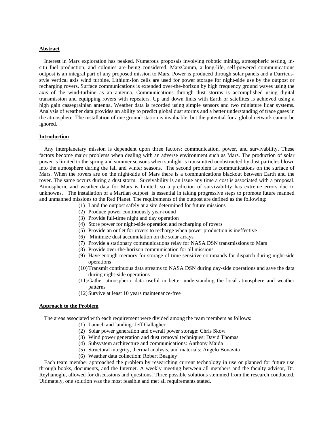#### **Abstract**

 Interest in Mars exploration has peaked. Numerous proposals involving robotic mining, atmospheric testing, insitu fuel production, and colonies are being considered. MarsComm, a long-life, self-powered communications outpost is an integral part of any proposed mission to Mars. Power is produced through solar panels and a Darrieusstyle vertical axis wind turbine. Lithium-Ion cells are used for power storage for night-side use by the outpost or recharging rovers. Surface communications is extended over-the-horizon by high frequency ground waves using the axis of the wind-turbine as an antenna. Communications through dust storms is accomplished using digital transmission and equipping rovers with repeaters. Up and down links with Earth or satellites is achieved using a high gain cassegrainian antenna. Weather data is recorded using simple sensors and two miniature lidar systems. Analysis of weather data provides an ability to predict global dust storms and a better understanding of trace gases in the atmosphere. The installation of one ground-station is invaluable, but the potential for a global network cannot be ignored.

### **Introduction**

 Any interplanetary mission is dependent upon three factors: communication, power, and survivability. These factors become major problems when dealing with an adverse environment such as Mars. The production of solar power is limited to the spring and summer seasons when sunlight is transmitted unobstructed by dust particles blown into the atmosphere during the fall and winter seasons. The second problem is communications on the surface of Mars. When the rovers are on the night-side of Mars there is a communications blackout between Earth and the rover. The same occurs during a dust storm. Survivability is an issue any time a cost is associated with a proposal. Atmospheric and weather data for Mars is limited, so a prediction of survivability has extreme errors due to unknowns. The installation of a Martian outpost is essential in taking progressive steps to promote future manned and unmanned missions to the Red Planet. The requirements of the outpost are defined as the following:

- (1) Land the outpost safely at a site determined for future missions
- (2) Produce power continuously year-round
- (3) Provide full-time night and day operation
- (4) Store power for night-side operation and recharging of rovers
- (5) Provide an outlet for rovers to recharge when power production is ineffective
- (6) Minimize dust accumulation on the solar arrays
- (7) Provide a stationary communications relay for NASA DSN transmissions to Mars
- (8) Provide over-the-horizon communication for all missions
- (9) Have enough memory for storage of time sensitive commands for dispatch during night-side operations
- (10) Transmit continuous data streams to NASA DSN during day-side operations and save the data during night-side operations
- (11) Gather atmospheric data useful in better understanding the local atmosphere and weather patterns
- (12) Survive at least 10 years maintenance-free

### **Approach to the Problem**

The areas associated with each requirement were divided among the team members as follows:

- (1) Launch and landing: Jeff Gallagher
- (2) Solar power generation and overall power storage: Chris Skow
- (3) Wind power generation and dust removal techniques: David Thomas
- (4) Subsystem architecture and communications: Anthony Maida
- (5) Structural integrity, thermal analysis, and materials: Angelo Bonavita
- (6) Weather data collection: Robert Beagley

 Each team member approached the problem by researching current technology in use or planned for future use through books, documents, and the Internet. A weekly meeting between all members and the faculty advisor, Dr. Reyhanoglu, allowed for discussions and questions. Three possible solutions stemmed from the research conducted. Ultimately, one solution was the most feasible and met all requirements stated.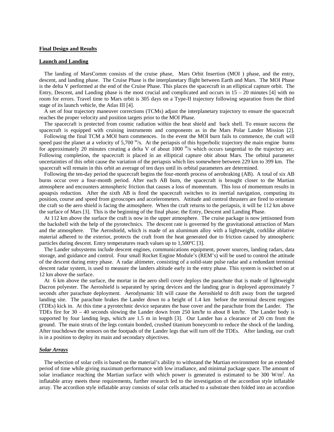#### **Final Design and Results**

#### **Launch and Landing**

 The landing of MarsComm consists of the cruise phase, Mars Orbit Insertion (MOI ) phase, and the entry, descent, and landing phase. The Cruise Phase is the interplanetary flight between Earth and Mars. The MOI Phase is the delta V performed at the end of the Cruise Phase. This places the spacecraft in an elliptical capture orbit. The Entry, Descent, and Landing phase is the most crucial and complicated and occurs in 15 – 20 minutes [4] with no room for errors. Travel time to Mars orbit is 305 days on a Type-II trajectory following separation from the third stage of its launch vehicle, the Atlas III [4].

 A set of four trajectory maneuver corrections (TCMs) adjust the interplanetary trajectory to ensure the spacecraft reaches the proper velocity and position targets prior to the MOI Phase.

 The spacecraft is protected from cosmic radiation within the heat shield and back shell. To ensure success the spacecraft is equipped with cruising instruments and components as in the Mars Polar Lander Mission [2].

 Following the final TCM a MOI burn commences. In the event the MOI burn fails to commence, the craft will speed past the planet at a velocity of  $5,700$  m/s. At the periapsis of this hyperbolic trajectory the main engine burns for approximately 20 minutes creating a delta V of about 1000 m/s which occurs tangential to the trajectory arc. Following completion, the spacecraft is placed in an elliptical capture obit about Mars. The orbital parameter uncertainties of this orbit cause the variation of the periapsis which lies somewhere between 229 km to 399 km. The spacecraft will remain in this orbit an average of ten days until its orbital parameters are determined.

 Following the ten-day period the spacecraft begins the four-month process of aerobraking (AB). A total of six AB burns occur over a four-month period. After each AB burn, the spacecraft is brought closer to the Martian atmosphere and encounters atmospheric friction that causes a loss of momentum. This loss of momentum results in apoapsis reduction. After the sixth AB is fired the spacecraft switches to its inertial navigation, computing its position, course and speed from gyroscopes and accelerometers. Attitude and control thrusters are fired to orientate the craft so the aero shield is facing the atmosphere. When the craft returns to the periapsis, it will be 112 km above the surface of Mars [3]. This is the beginning of the final phase; the Entry, Descent and Landing Phase.

 At 112 km above the surface the craft is now in the upper atmosphere. The cruise package is now jettisoned from the backshell with the help of the pyrotechnics. The descent rate is governed by the gravitational attraction of Mars and the atmosphere. The Aeroshield, which is made of an aluminum alloy with a lightweight, corklike ablative material adhered to the exterior, protects the craft from the heat generated due to friction caused by atmospheric particles during descent. Entry temperatures reach values up to 1,500ºC [3].

 The Lander subsystems include descent engines, communications equipment, power sources, landing radars, data storage, and guidance and control. Four small Rocket Engine Module's (REM's) will be used to control the attitude of the descent during entry phase. A radar altimeter, consisting of a solid-state pulse radar and a redundant terminal descent radar system, is used to measure the landers altitude early in the entry phase. This system is switched on at 12 km above the surface.

 At 6 km above the surface, the mortar in the aero shell cover deploys the parachute that is made of lightweight Dacron polyester. The Aeroshield is separated by spring devices and the landing gear is deployed approximately 7 seconds after parachute deployment. Aerodynamic lift will cause the Aeroshield to drift away from the targeted landing site. The parachute brakes the Lander down to a height of 1.4 km before the terminal descent engines (TDEs) kick in. At this time a pyrotechnic device separates the base cover and the parachute from the Lander. The TDEs fire for 30 – 40 seconds slowing the Lander down from 250 km/hr to about 8 km/hr. The Lander body is supported by four landing legs, which are 1.5 m in length [3]. Our Lander has a clearance of 20 cm from the ground. The main struts of the legs contain bonded, crushed titanium honeycomb to reduce the shock of the landing. After touchdown the sensors on the footpads of the Lander legs that will turn off the TDEs. After landing, our craft is in a position to deploy its main and secondary objectives.

## *Solar Arrays*

 The selection of solar cells is based on the material's ability to withstand the Martian environment for an extended period of time while giving maximum performance with low irradiance, and minimal package space. The amount of solar irradiance reaching the Martian surface with which power is generated is estimated to be 300 W/m<sup>2</sup>. An inflatable array meets these requirements, further research led to the investigation of the accordion style inflatable array. The accordion style inflatable array consists of solar cells attached to a substrate then folded into an accordion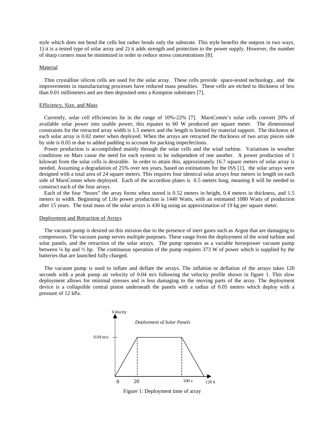style which does not bend the cells but rather bends only the substrate. This style benefits the outpost in two ways, 1) it is a tested type of solar array and 2) it adds strength and protection to the power supply. However, the number of sharp corners must be minimized in order to reduce stress concentrations [8].

#### Material

 Thin crystalline silicon cells are used for the solar array. These cells provide space-tested technology, and the improvements in manufacturing processes have reduced mass penalties. These cells are etched to thickness of less than 0.01 millimeters and are then deposited onto a Kempton substrates [7].

#### Efficiency, Size, and Mass

 Currently, solar cell efficiencies lie in the range of 10%-22% [7]. MarsComm's solar cells convert 20% of available solar power into usable power, this equates to 60 W produced per square meter. The dimensional constraints for the retracted array width is 1.5 meters and the length is limited by material support. The thickness of each solar array is 0.02 meter when deployed. When the arrays are retracted the thickness of two array pieces side by side is 0.05 m due to added padding to account for packing imperfections.

 Power production is accomplished mainly through the solar cells and the wind turbine. Variations in weather conditions on Mars cause the need for each system to be independent of one another. A power production of 1 kilowatt from the solar cells is desirable. In order to attain this, approximately 16.7 square meters of solar array is needed. Assuming a degradation of 25% over ten years, based on estimations for the ISS [1], the solar arrays were designed with a total area of 24 square meters. This requires four identical solar arrays four meters in length on each side of MarsComm when deployed. Each of the accordion plates is 0.5 meters long, meaning 8 will be needed to construct each of the four arrays.

 Each of the four "boxes" the array forms when stored is 0.52 meters in height, 0.4 meters in thickness, and 1.5 meters in width. Beginning of Life power production is 1440 Watts, with an estimated 1080 Watts of production after 15 years. The total mass of the solar arrays is 430 kg using an approximation of 19 kg per square meter.

#### Deployment and Retraction of Arrays

 The vacuum pump is desired on this mission due to the presence of inert gases such as Argon that are damaging to compressors. The vacuum pump serves multiple purposes. These range from the deployment of the wind turbine and solar panels, and the retraction of the solar arrays. The pump operates as a variable horsepower vacuum pump between ¼ hp and ½ hp. The continuous operation of the pump requires 373 W of power which is supplied by the batteries that are launched fully charged.

 The vacuum pump is used to inflate and deflate the arrays. The inflation or deflation of the arrays takes 120 seconds with a peak pump air velocity of 0.04 m/s following the velocity profile shown in figure 1. This slow deployment allows for minimal stresses and is less damaging to the moving parts of the array. The deployment device is a collapsible central piston underneath the panels with a radius of 0.05 meters which deploy with a pressure of 12 kPa.



Figure 1: Deployment time of array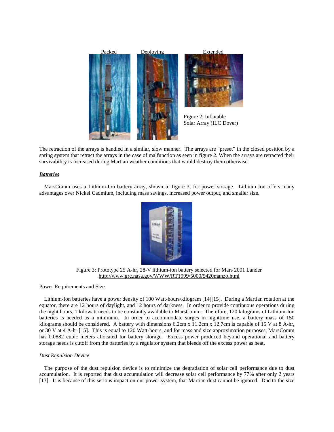

The retraction of the arrays is handled in a similar, slow manner. The arrays are "preset" in the closed position by a spring system that retract the arrays in the case of malfunction as seen in figure 2. When the arrays are retracted their survivability is increased during Martian weather conditions that would destroy them otherwise.

## *Batteries*

 MarsComm uses a Lithium-Ion battery array, shown in figure 3, for power storage. Lithium Ion offers many advantages over Nickel Cadmium, including mass savings, increased power output, and smaller size.



Figure 3: Prototype 25 A-hr, 28-V lithium-ion battery selected for Mars 2001 Lander http://www.grc.nasa.gov/WWW/RT1999/5000/5420manzo.html

#### Power Requirements and Size

 Lithium-Ion batteries have a power density of 100 Watt-hours/kilogram [14][15]. During a Martian rotation at the equator, there are 12 hours of daylight, and 12 hours of darkness. In order to provide continuous operations during the night hours, 1 kilowatt needs to be constantly available to MarsComm. Therefore, 120 kilograms of Lithium-Ion batteries is needed as a minimum. In order to accommodate surges in nighttime use, a battery mass of 150 kilograms should be considered. A battery with dimensions 6.2cm x 11.2cm x 12.7cm is capable of 15 V at 8 A-hr, or 30 V at 4 A-hr [15]. This is equal to 120 Watt-hours, and for mass and size approximation purposes, MarsComm has 0.0882 cubic meters allocated for battery storage. Excess power produced beyond operational and battery storage needs is cutoff from the batteries by a regulator system that bleeds off the excess power as heat.

#### *Dust Repulsion Device*

 The purpose of the dust repulsion device is to minimize the degradation of solar cell performance due to dust accumulation. It is reported that dust accumulation will decrease solar cell performance by 77% after only 2 years [13]. It is because of this serious impact on our power system, that Martian dust cannot be ignored. Due to the size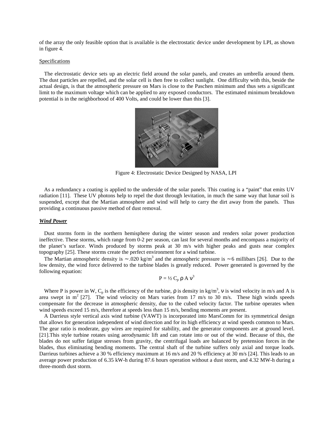of the array the only feasible option that is available is the electrostatic device under development by LPI, as shown in figure 4.

#### **Specifications**

 The electrostatic device sets up an electric field around the solar panels, and creates an umbrella around them. The dust particles are repelled, and the solar cell is then free to collect sunlight. One difficulty with this, beside the actual design, is that the atmospheric pressure on Mars is close to the Paschen minimum and thus sets a significant limit to the maximum voltage which can be applied to any exposed conductors. The estimated minimum breakdown potential is in the neighborhood of 400 Volts, and could be lower than this [3].



Figure 4: Electrostatic Device Designed by NASA, LPI

 As a redundancy a coating is applied to the underside of the solar panels. This coating is a "paint" that emits UV radiation [11]. These UV photons help to repel the dust through levitation, in much the same way that lunar soil is suspended, except that the Martian atmosphere and wind will help to carry the dirt away from the panels. Thus providing a continuous passive method of dust removal.

## *Wind Power*

 Dust storms form in the northern hemisphere during the winter season and renders solar power production ineffective. These storms, which range from 0-2 per season, can last for several months and encompass a majority of the planet's surface. Winds produced by storms peak at 30 m/s with higher peaks and gusts near complex topography [25]. These storms create the perfect environment for a wind turbine.

The Martian atmospheric density is ~ .020 kg/m<sup>3</sup> and the atmospheric pressure is ~ 6 millibars [26]. Due to the low density, the wind force delivered to the turbine blades is greatly reduced. Power generated is governed by the following equation:

$$
P = \frac{1}{2} C_p \rho A v^3
$$

Where P is power in W, C<sub>p</sub> is the efficiency of the turbine,  $\rho$  is density in kg/m<sup>3</sup>, v is wind velocity in m/s and A is area swept in  $m^2$  [27]. The wind velocity on Mars varies from 17 m/s to 30 m/s. These high winds speeds compensate for the decrease in atmospheric density, due to the cubed velocity factor. The turbine operates when wind speeds exceed 15 m/s, therefore at speeds less than 15 m/s, bending moments are present.

A Darrieus style vertical axis wind turbine (VAWT) is incorporated into MarsComm for its symmetrical design that allows for generation independent of wind direction and for its high efficiency at wind speeds common to Mars. The gear ratio is moderate, guy wires are required for stability, and the generator components are at ground level. [21].This style turbine rotates using aerodynamic lift and can rotate into or out of the wind. Because of this, the blades do not suffer fatigue stresses from gravity, the centrifugal loads are balanced by pretension forces in the blades, thus eliminating bending moments. The central shaft of the turbine suffers only axial and torque loads. Darrieus turbines achieve a 30 % efficiency maximum at 16 m/s and 20 % efficiency at 30 m/s [24]. This leads to an average power production of 6.35 kW-h during 87.6 hours operation without a dust storm, and 4.32 MW-h during a three-month dust storm.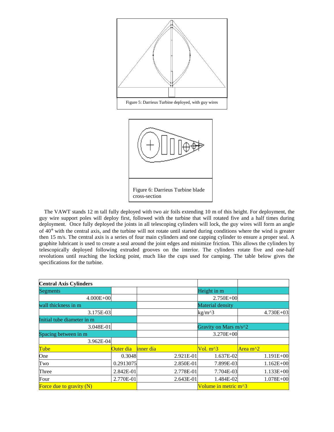

Figure 6: Darrieus Turbine blade cross-section

 The VAWT stands 12 m tall fully deployed with two air foils extending 10 m of this height. For deployment, the guy wire support poles will deploy first, followed with the turbine that will rotated five and a half times during deployment. Once fully deployed the joints in all telescoping cylinders will lock, the guy wires will form an angle of 40° with the central axis, and the turbine will not rotate until started during conditions where the wind is greater then 15 m/s. The central axis is a series of four main cylinders and one capping cylinder to ensure a proper seal. A graphite lubricant is used to create a seal around the joint edges and minimize friction. This allows the cylinders by telescopically deployed following extruded grooves on the interior. The cylinders rotate five and one-half revolutions until reaching the locking point, much like the cups used for camping. The table below gives the specifications for the turbine.

| <b>Central Axis Cylinders</b> |           |           |                         |                                          |  |
|-------------------------------|-----------|-----------|-------------------------|------------------------------------------|--|
| Segments                      |           |           | Height in m             |                                          |  |
| $4.000E + 00$                 |           |           | $2.750E + 00$           |                                          |  |
| wall thickness in m           |           |           | <b>Material density</b> |                                          |  |
| 3.175E-03                     |           |           | $kg/m^{3}$              | 4.730E+03                                |  |
| Initial tube diameter in m    |           |           |                         |                                          |  |
| 3.048E-01                     |           |           | Gravity on Mars $m/s^2$ |                                          |  |
| Spacing between in m          |           |           | 3.270E+00               |                                          |  |
| 3.962E-04                     |           |           |                         |                                          |  |
| Tube                          | Outer dia | inner dia | $Vol. m^{3}$            | Area m <sup><math>\lambda</math></sup> 2 |  |
| One                           | 0.3048    | 2.921E-01 | 1.637E-02               | 1.191E+00                                |  |
| Two                           | 0.2913075 | 2.850E-01 | 7.899E-03               | $1.162E + 00$                            |  |
| Three                         | 2.842E-01 | 2.778E-01 | 7.704E-03               | 1.133E+00                                |  |
| Four                          | 2.770E-01 | 2.643E-01 | 1.484E-02               | 1.078E+00                                |  |
| Force due to gravity $(N)$    |           |           | Volume in metric m^3    |                                          |  |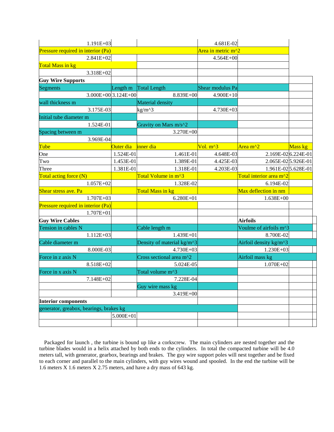| 1.191E+03                               |                          |                            | 4.681E-02          |                         |         |
|-----------------------------------------|--------------------------|----------------------------|--------------------|-------------------------|---------|
| Pressure required in interior (Pa)      |                          |                            | Area in metric m^2 |                         |         |
| 2.841E+02                               |                          |                            | 4.564E+00          |                         |         |
| Total Mass in kg                        |                          |                            |                    |                         |         |
| 3.318E+02                               |                          |                            |                    |                         |         |
| <b>Guy Wire Supports</b>                |                          |                            |                    |                         |         |
| <b>Segments</b>                         | Length m                 | <b>Total Length</b>        | Shear modulus Pa   |                         |         |
|                                         | $3.000E + 003.124E + 00$ | 8.839E+00                  | 4.900E+10          |                         |         |
| wall thickness m                        |                          | Material density           |                    |                         |         |
| 3.175E-03                               |                          | $\text{kg}/\text{m}^2$     | 4.730E+03          |                         |         |
| Initial tube diameter m                 |                          |                            |                    |                         |         |
| 1.524E-01                               |                          | Gravity on Mars m/s^2      |                    |                         |         |
| Spacing between m                       |                          | 3.270E+00                  |                    |                         |         |
| 3.969E-04                               |                          |                            |                    |                         |         |
| Tube                                    | Outer dia                | inner dia                  | Vol. $m^3$         | Area m <sup>^2</sup>    | Mass kg |
| One                                     | 1.524E-01                | 1.461E-01                  | 4.648E-03          | 2.169E-026.224E-01      |         |
| Two                                     | 1.453E-01                | 1.389E-01                  | 4.425E-03          | 2.065E-025.926E-01      |         |
| Three                                   | 1.381E-01                | 1.318E-01                  | 4.203E-03          | 1.961E-025.628E-01      |         |
| Total acting force (N)                  |                          | Total Volume in m^3        |                    | Total interior area m^2 |         |
| $1.057E + 02$                           |                          | 1.328E-02                  |                    | 6.194E-02               |         |
| Shear stress ave. Pa                    |                          | Total Mass in kg           |                    | Max deflection in nm    |         |
| $1.707E + 03$                           |                          | $6.280E + 01$              |                    | $1.638E + 00$           |         |
| Pressure required in interior (Pa)      |                          |                            |                    |                         |         |
| $1.707E + 01$                           |                          |                            |                    |                         |         |
| <b>Guy Wire Cables</b>                  |                          |                            |                    | <b>Airfoils</b>         |         |
| Tension in cables N                     |                          | Cable length m             |                    | Voulme of airfoils m^3  |         |
| $1.112E + 03$                           |                          | 1.439E+01                  |                    | 8.700E-02               |         |
| Cable diameter m                        |                          | Density of material kg/m^3 |                    | Airfoil density kg/m^3  |         |
| 8.000E-03                               |                          | 4.730E+03                  |                    | 1.230E+03               |         |
| Force in z axis N                       |                          | Cross sectional area m^2   |                    | Airfoil mass kg         |         |
| 8.518E+02                               |                          | 5.024E-05                  |                    | $1.070E + 02$           |         |
| Force in x axis N                       |                          | Total volume m^3           |                    |                         |         |
| 7.148E+02                               |                          | 7.228E-04                  |                    |                         |         |
|                                         |                          | Guy wire mass kg           |                    |                         |         |
|                                         |                          | 3.419E+00                  |                    |                         |         |
| <b>Interior components</b>              |                          |                            |                    |                         |         |
| generator, greabox, bearings, brakes kg |                          |                            |                    |                         |         |
|                                         | 5.000E+01                |                            |                    |                         |         |
|                                         |                          |                            |                    |                         |         |
|                                         |                          |                            |                    |                         |         |

Packaged for launch , the turbine is bound up like a corkscrew. The main cylinders are nested together and the turbine blades would in a helix attached by both ends to the cylinders. In total the compacted turbine will be 4.0 meters tall, with generator, gearbox, bearings and brakes. The guy wire support poles will nest together and be fixed to each corner and parallel to the main cylinders, with guy wires wound and spooled. In the end the turbine will be 1.6 meters X 1.6 meters X 2.75 meters, and have a dry mass of 643 kg.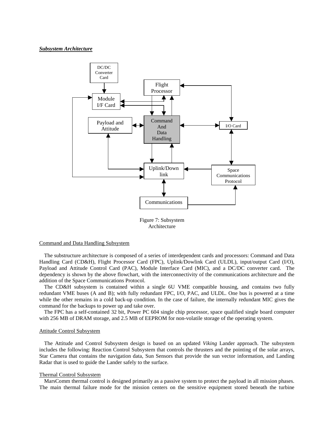#### *Subsystem Architecture*



Figure 7: Subsystem Architecture

#### Command and Data Handling Subsystem

The substructure architecture is composed of a series of interdependent cards and processors: Command and Data Handling Card (CD&H), Flight Processor Card (FPC), Uplink/Dowlink Card (ULDL), input/output Card (I/O), Payload and Attitude Control Card (PAC), Module Interface Card (MIC), and a DC/DC converter card. The dependency is shown by the above flowchart, with the interconnectivity of the communications architecture and the addition of the Space Communications Protocol.

The CD&H subsystem is contained within a single 6U VME compatible housing, and contains two fully redundant VME buses (A and B); with fully redundant FPC, I/O, PAC, and ULDL. One bus is powered at a time while the other remains in a cold back-up condition. In the case of failure, the internally redundant MIC gives the command for the backups to power up and take over.

The FPC has a self-contained 32 bit, Power PC 604 single chip processor, space qualified single board computer with 256 MB of DRAM storage, and 2.5 MB of EEPROM for non-volatile storage of the operating system.

#### Attitude Control Subsystem

 The Attitude and Control Subsystem design is based on an updated *Viking* Lander approach. The subsystem includes the following: Reaction Control Subsystem that controls the thrusters and the pointing of the solar arrays, Star Camera that contains the navigation data, Sun Sensors that provide the sun vector information, and Landing Radar that is used to guide the Lander safely to the surface.

#### Thermal Control Subsystem

 MarsComm thermal control is designed primarily as a passive system to protect the payload in all mission phases. The main thermal failure mode for the mission centers on the sensitive equipment stored beneath the turbine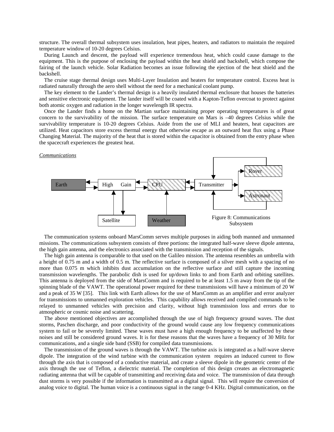structure. The overall thermal subsystem uses insulation, heat pipes, heaters, and radiators to maintain the required temperature window of 10-20 degrees Celsius.

 During Launch and descent, the payload will experience tremendous heat, which could cause damage to the equipment. This is the purpose of enclosing the payload within the heat shield and backshell, which compose the fairing of the launch vehicle. Solar Radiation becomes an issue following the ejection of the heat shield and the backshell.

 The cruise stage thermal design uses Multi-Layer Insulation and heaters for temperature control. Excess heat is radiated naturally through the aero shell without the need for a mechanical coolant pump.

 The key element to the Lander's thermal design is a heavily insulated thermal enclosure that houses the batteries and sensitive electronic equipment. The lander itself will be coated with a Kapton-Teflon overcoat to protect against both atomic oxygen and radiation in the longer wavelength IR spectra.

 Once the Lander finds a home on the Martian surface maintaining proper operating temperatures is of great concern to the survivability of the mission. The surface temperature on Mars is –40 degrees Celsius while the survivability temperature is 10-20 degrees Celsius. Aside from the use of MLI and heaters, heat capacitors are utilized. Heat capacitors store excess thermal energy that otherwise escape as an outward heat flux using a Phase Changing Material. The majority of the heat that is stored within the capacitor is obtained from the entry phase when the spacecraft experiences the greatest heat.

#### *Communications*



 The communication systems onboard MarsComm serves multiple purposes in aiding both manned and unmanned missions. The communications subsystem consists of three portions: the integrated half-wave sleeve dipole antenna, the high gain antenna, and the electronics associated with the transmission and reception of the signals.

 The high gain antenna is comparable to that used on the Galileo mission. The antenna resembles an umbrella with a height of 0.75 m and a width of 0.5 m. The reflective surface is composed of a silver mesh with a spacing of no more than 0.075 m which inhibits dust accumulation on the reflective surface and still capture the incoming transmission wavelengths. The parabolic dish is used for up/down links to and from Earth and orbiting satellites. This antenna is deployed from the side of MarsComm and is required to be at least 1.5 m away from the tip of the spinning blade of the VAWT. The operational power required for these transmissions will have a minimum of 20 W and a peak of 35 W [35]. This link with Earth allows for the use of MarsComm as an amplifier and error analyzer for transmissions to unmanned exploration vehicles. This capability allows received and compiled commands to be relayed to unmanned vehicles with precision and clarity, without high transmission loss and errors due to atmospheric or cosmic noise and scattering.

 The above mentioned objectives are accomplished through the use of high frequency ground waves. The dust storms, Paschen discharge, and poor conductivity of the ground would cause any low frequency communications system to fail or be severely limited. These waves must have a high enough frequency to be unaffected by these noises and still be considered ground waves. It is for these reasons that the waves have a frequency of 30 MHz for communications, and a single side band (SSB) for compiled data transmissions.

 The transmission of the ground waves is through the VAWT. The turbine axis is integrated as a half-wave sleeve dipole. The integration of the wind turbine with the communication system requires an induced current to flow through the axis that is composed of a conductive material, and create a sleeve dipole in the geometric center of the axis through the use of Teflon, a dielectric material. The completion of this design creates an electromagnetic radiating antenna that will be capable of transmitting and receiving data and voice. The transmission of data through dust storms is very possible if the information is transmitted as a digital signal. This will require the conversion of analog voice to digital. The human voice is a continuous signal in the range 0-4 KHz. Digital communication, on the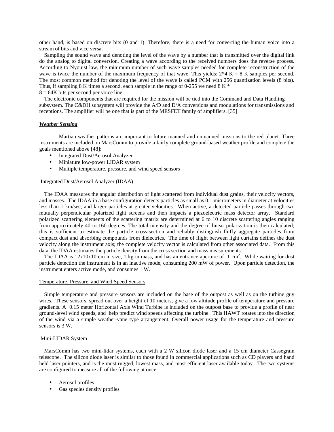other hand, is based on discrete bits (0 and 1). Therefore, there is a need for converting the human voice into a stream of bits and vice versa.

 Sampling the sound wave and denoting the level of the wave by a number that is transmitted over the digital link do the analog to digital conversion. Creating a wave according to the received numbers does the reverse process. According to Nyquist law, the minimum number of such wave samples needed for complete reconstruction of the wave is twice the number of the maximum frequency of that wave. This yields:  $2*4$  K = 8 K samples per second. The most common method for denoting the level of the wave is called PCM with 256 quantization levels (8 bits). Thus, if sampling 8 K times a second, each sample in the range of 0-255 we need 8 K  $*$ 

 $8 = 64K$  bits per second per voice line.

 The electronic components that are required for the mission will be tied into the Command and Data Handling subsystem. The C&DH subsystem will provide the A/D and D/A conversions and modulations for transmissions and receptions. The amplifier will be one that is part of the MESFET family of amplifiers. [35]

### *Weather Sensing*

 Martian weather patterns are important to future manned and unmanned missions to the red planet. Three instruments are included on MarsComm to provide a fairly complete ground-based weather profile and complete the goals mentioned above [48]:

- Integrated Dust/Aerosol Analyzer
- Miniature low-power LIDAR system
- Multiple temperature, pressure, and wind speed sensors

#### Integrated Dust/Aerosol Analyzer (IDAA)

 The IDAA measures the angular distribution of light scattered from individual dust grains, their velocity vectors, and masses. The IDAA in a base configuration detects particles as small as 0.1 micrometers in diameter at velocities less than 1 km/sec, and larger particles at greater velocities. When active, a detected particle passes through two mutually perpendicular polarized light screens and then impacts a piezoelectric mass detector array. Standard polarized scattering elements of the scattering matrix are determined at 6 to 10 discrete scattering angles ranging from approximately 40 to 160 degrees. The total intensity and the degree of linear polarization is then calculated; this is sufficient to estimate the particle cross-section and reliably distinguish fluffy aggregate particles from compact dust and absorbing compounds from dielectrics. The time of flight between light curtains defines the dust velocity along the instrument axis; the complete velocity vector is calculated from other associated data. From this data, the IDAA estimates the particle density from the cross section and mass measurements.

The IDAA is  $12x10x10$  cm in size, 1 kg in mass, and has an entrance aperture of 1 cm<sup>2</sup>. While waiting for dust particle detection the instrument is in an inactive mode, consuming 200 mW of power. Upon particle detection, the instrument enters active mode, and consumes 1 W.

## Temperature, Pressure, and Wind Speed Sensors

 Simple temperature and pressure sensors are included on the base of the outpost as well as on the turbine guy wires. These sensors, spread out over a height of 10 meters, give a low altitude profile of temperature and pressure gradients. A 0.15 meter Horizontal Axis Wind Turbine is included on the outpost base to provide a profile of near ground-level wind speeds, and help predict wind speeds affecting the turbine. This HAWT rotates into the direction of the wind via a simple weather-vane type arrangement. Overall power usage for the temperature and pressure sensors is 3 W.

### Mini-LIDAR System

 MarsComm has two mini-lidar systems, each with a 2 W silicon diode laser and a 15 cm diameter Cassegrain telescope. The silicon diode laser is similar to those found in commercial applications such as CD players and hand held laser pointers, and is the most rugged, lowest mass, and most efficient laser available today. The two systems are configured to measure all of the following at once:

- Aerosol profiles
- Gas species density profiles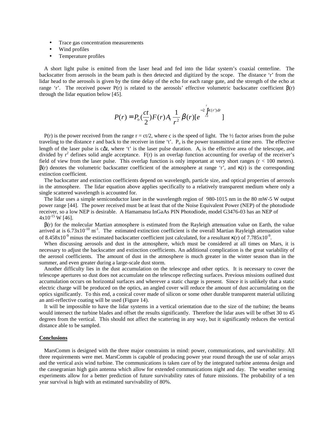- Trace gas concentration measurements
- Wind profiles
- Temperature profiles

 A short light pulse is emitted from the laser head and fed into the lidar system's coaxial centerline. The backscatter from aerosols in the beam path is then detected and digitized by the scope. The distance 'r' from the lidar head to the aerosols is given by the time delay of the echo for each range gate, and the strength of the echo at range 'r'. The received power  $P(r)$  is related to the aerosols' effective volumetric backscatter coefficient  $\beta(r)$ through the lidar equation below [45].

$$
P(r) = P_o(\frac{ct}{2})F(r)A_t \frac{1}{r^2} \beta(r)[e^{-2\int_{r_0}^{2} K(r)dr}]
$$

P(r) is the power received from the range  $r = ct/2$ , where c is the speed of light. The  $\frac{1}{2}$  factor arises from the pulse traveling to the distance r and back to the receiver in time 't'.  $P_0$  is the power transmitted at time zero. The effective length of the laser pulse is c∆t, where 't' is the laser pulse duration. A<sub>t</sub> is the effective area of the telescope, and divided by  $r^2$  defines solid angle acceptance.  $F(r)$  is an overlap function accounting for overlap of the receiver's field of view from the laser pulse. This overlap function is only important at very short ranges (r < 100 meters).  $β(r)$  denotes the volumetric backscatter coefficient of the atmosphere at range 'r', and κ(r) is the corresponding extinction coefficient.

 The backscatter and extinction coefficients depend on wavelength, particle size, and optical properties of aerosols in the atmosphere. The lidar equation above applies specifically to a relatively transparent medium where only a single scattered wavelength is accounted for.

 The lidar uses a simple semiconductor laser in the wavelength region of 980-1015 nm in the 80 mW-5 W output power range [44]. The power received must be at least that of the Noise Equivalent Power (NEP) of the photodiode receiver, so a low NEP is desirable. A Hamamatsu InGaAs PIN Photodiode, model G3476-03 has an NEP of  $4x10^{-15}$  W [46].

 β(r) for the molecular Martian atmosphere is estimated from the Rayleigh attenuation value on Earth, the value arrived at is  $6.73 \times 10^{-10}$  m<sup>-1</sup>. The estimated extinction coefficient is the overall Martian Rayleigh attenuation value of 8.458x10<sup>-9</sup> minus the estimated backscatter coefficient just calculated, for a resultant  $\kappa(r)$  of 7.785x10<sup>-9</sup>.

When discussing aerosols and dust in the atmosphere, which must be considered at all times on Mars, it is necessary to adjust the backscatter and extinction coefficients. An additional complication is the great variability of the aerosol coefficients. The amount of dust in the atmosphere is much greater in the winter season than in the summer, and even greater during a large-scale dust storm.

Another difficulty lies in the dust accumulation on the telescope and other optics. It is necessary to cover the telescope apertures so dust does not accumulate on the telescope reflecting surfaces. Previous missions outlined dust accumulation occurs on horizontal surfaces and wherever a static charge is present. Since it is unlikely that a static electric charge will be produced on the optics, an angled cover will reduce the amount of dust accumulating on the optics significantly. To this end, a conical cover made of silicon or some other durable transparent material utilizing an anti-reflective coating will be used (Figure 14).

 It will be impossible to have the lidar systems in a vertical orientation due to the size of the turbine; the beams would intersect the turbine blades and offset the results significantly. Therefore the lidar axes will be offset 30 to 45 degrees from the vertical. This should not affect the scattering in any way, but it significantly reduces the vertical distance able to be sampled.

#### **Conclusions**

 MarsComm is designed with the three major constraints in mind: power, communications, and survivability. All three requirements were met. MarsComm is capable of producing power year round through the use of solar arrays and the vertical axis wind turbine. The communications is taken care of by the integrated turbine antenna design and the cassegranian high gain antenna which allow for extended communications night and day. The weather sensing experiments allow for a better prediction of future survivability rates of future missions. The probability of a ten year survival is high with an estimated survivability of 80%.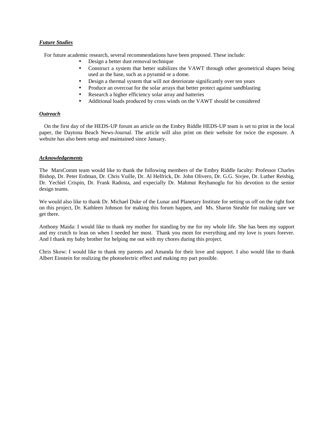# *Future Studies*

For future academic research, several recommendations have been proposed. These include:

- Design a better dust removal technique
- Construct a system that better stabilizes the VAWT through other geometrical shapes being used as the base, such as a pyramid or a dome.
- Design a thermal system that will not deteriorate significantly over ten years
- Produce an overcoat for the solar arrays that better protect against sandblasting
- Research a higher efficiency solar array and batteries
- Additional loads produced by cross winds on the VAWT should be considered

## *Outreach*

 On the first day of the HEDS-UP forum an article on the Embry Riddle HEDS-UP team is set to print in the local paper, the Daytona Beach News-Journal. The article will also print on their website for twice the exposure. A website has also been setup and maintained since January.

## *Acknowledgements*

The MarsComm team would like to thank the following members of the Embry Riddle faculty: Professor Charles Bishop, Dr. Peter Erdman, Dr. Chris Vuille, Dr. Al Helfrick, Dr. John Olivero, Dr. G.G. Sivjee, Dr. Luther Reisbig, Dr. Yechiel Crispin, Dr. Frank Radosta, and expecially Dr. Mahmut Reyhanoglu for his devotion to the senior design teams.

We would also like to thank Dr. Michael Duke of the Lunar and Planetary Institute for setting us off on the right foot on this project, Dr. Kathleen Johnson for making this forum happen, and Ms. Sharon Steahle for making sure we get there.

Anthony Maida: I would like to thank my mother for standing by me for my whole life. She has been my support and my crutch to lean on when I needed her most. Thank you mom for everything and my love is yours forever. And I thank my baby brother for helping me out with my chores during this project.

Chris Skow: I would like to thank my parents and Amanda for their love and support. I also would like to thank Albert Einstein for realizing the photoelectric effect and making my part possible.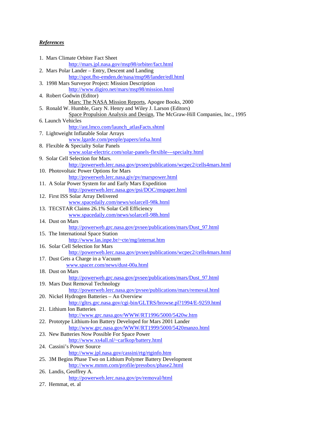# *References*

| 1. Mars Climate Orbiter Fact Sheet                                                                                |  |
|-------------------------------------------------------------------------------------------------------------------|--|
| http://mars.jpl.nasa.gov/msp98/orbiter/fact.html                                                                  |  |
| 2. Mars Polar Lander – Entry, Descent and Landing                                                                 |  |
| http://spot.fho-emden.de/nasa/msp98/lander/edl.html                                                               |  |
| 3. 1998 Mars Surveyor Project: Mission Description                                                                |  |
| http://www.digiro.net/mars/msp98/mission.html                                                                     |  |
| 4. Robert Godwin (Editor)                                                                                         |  |
| Mars: The NASA Mission Reports, Apogee Books, 2000                                                                |  |
| 5. Ronald W. Humble, Gary N. Henry and Wiley J. Larson (Editors)                                                  |  |
| Space Propulsion Analysis and Design, The McGraw-Hill Companies, Inc., 1995                                       |  |
| 6. Launch Vehicles                                                                                                |  |
| http://ast.lmco.com/launch_atlasFacts.shtml                                                                       |  |
| 7. Lightweight Inflatable Solar Arrays                                                                            |  |
| www.lgarde.com/people/papers/infsa.html                                                                           |  |
| 8. Flexible & Specialty Solar Panels                                                                              |  |
| www.solar-electric.com/solar-panels-flexible---specialty.html                                                     |  |
| 9. Solar Cell Selection for Mars.                                                                                 |  |
| http://powerweb.lerc.nasa.gov/pvsee/publications/wcpec2/cells4mars.html                                           |  |
| 10. Photovoltaic Power Options for Mars                                                                           |  |
| http://powerweb.lerc.nasa.giv/pv/marspower.html                                                                   |  |
| 11. A Solar Power System for and Early Mars Expedition                                                            |  |
| http://powerweb.lerc.nasa.gov/psi/DOC/mspaper.html                                                                |  |
| 12. First ISS Solar Array Delivered                                                                               |  |
| www.spacedaily.com/news/solarcell-98k.html                                                                        |  |
| 13. TECSTAR Claims 26.1% Solar Cell Efficiency                                                                    |  |
| www.spacedaily.com/news/solarcell-98h.html                                                                        |  |
| 14. Dust on Mars                                                                                                  |  |
| http://powerweb.grc.nasa.gov/pvsee/publications/mars/Dust 97.html                                                 |  |
| 15. The International Space Station                                                                               |  |
| http://www.las.inpe.br/~cte/mg/internat.htm                                                                       |  |
| 16. Solar Cell Selection for Mars                                                                                 |  |
| http://powerweb.lerc.nasa.gov/pvsee/publications/wcpec2/cells4mars.html                                           |  |
| 17. Dust Gets a Charge in a Vacuum                                                                                |  |
| www.spacer.com/news/dust-00a.html                                                                                 |  |
| 18. Dust on Mars                                                                                                  |  |
| http://powerweb.grc.nasa.gov/pysee/publications/mars/Dust 97.html                                                 |  |
| 19. Mars Dust Removal Technology                                                                                  |  |
| http://powerweb.lerc.nasa.gov/pysee/publications/mars/removal.html                                                |  |
| 20. Nickel Hydrogen Batteries - An Overview                                                                       |  |
| http://gltrs.grc.nasa.gov/cgi-bin/GLTRS/browse.pl?1994/E-9259.html                                                |  |
| 21. Lithium Ion Batteries                                                                                         |  |
| http://www.grc.nasa.gov/WWW/RT1996/5000/5420w.htm                                                                 |  |
| 22. Prototype Lithium-Ion Battery Developed for Mars 2001 Lander                                                  |  |
| http://www.grc.nasa.gov/WWW/RT1999/5000/5420manzo.html                                                            |  |
| 23. New Batteries Now Possible For Space Power                                                                    |  |
| http://www.xs4all.nl/~carlkop/battery.html<br>24. Cassini's Power Source                                          |  |
|                                                                                                                   |  |
| http://www.jpl.nasa.gov/cassini/rtg/rtginfo.htm                                                                   |  |
| 25. 3M Begins Phase Two on Lithium Polymer Battery Development<br>http://www.mmm.com/profile/pressbox/phase2.html |  |
|                                                                                                                   |  |
| 26. Landis, Geoffrey A.                                                                                           |  |
| http://powerweb.lerc.nasa.gov/pv/removal/html                                                                     |  |
| 27. Hemmat, et. al                                                                                                |  |